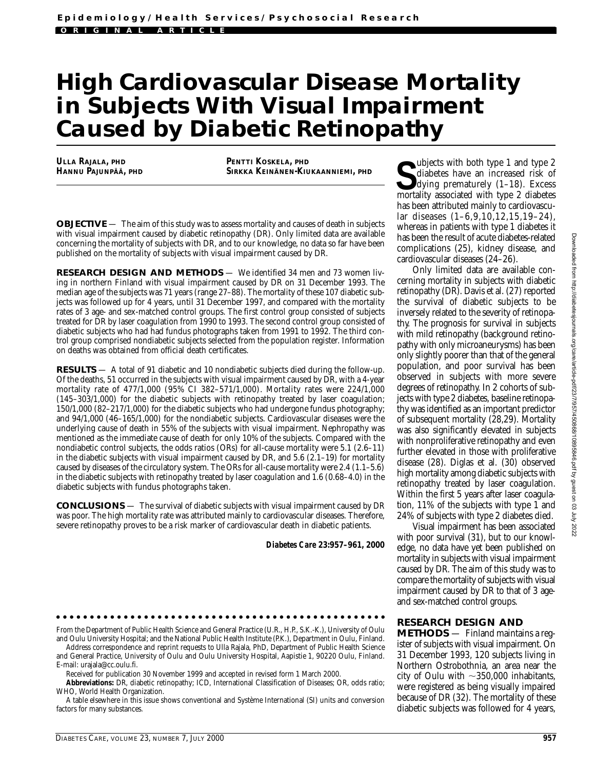## **High Cardiovascular Disease Mortality in Subjects With Visual Impairment Caused by Diabetic Retinopathy**

**ULLA RAJALA, PHD HANNU PAJUNPÄÄ, PHD** **PENTTI KOSKELA, PHD SIRKKA KEINÄNEN-KIUKAANNIEMI, PHD**

**OBJECTIVE** — The aim of this study was to assess mortality and causes of death in subjects with visual impairment caused by diabetic retinopathy (DR). Only limited data are available concerning the mortality of subjects with DR, and to our knowledge, no data so far have been published on the mortality of subjects with visual impairment caused by DR.

**RESEARCH DESIGN AND METHODS** — We identified 34 men and 73 women living in northern Finland with visual impairment caused by DR on 31 December 1993. The median age of the subjects was 71 years (range 27–88). The mortality of these 107 diabetic subjects was followed up for 4 years, until 31 December 1997, and compared with the mortality rates of 3 age- and sex-matched control groups. The first control group consisted of subjects treated for DR by laser coagulation from 1990 to 1993. The second control group consisted of diabetic subjects who had had fundus photographs taken from 1991 to 1992. The third control group comprised nondiabetic subjects selected from the population register. Information on deaths was obtained from official death certificates.

**RESULTS** — A total of 91 diabetic and 10 nondiabetic subjects died during the follow-up. Of the deaths, 51 occurred in the subjects with visual impairment caused by DR, with a 4-year mortality rate of 477/1,000 (95% CI 382–571/1,000). Mortality rates were 224/1,000 (145–303/1,000) for the diabetic subjects with retinopathy treated by laser coagulation; 150/1,000 (82–217/1,000) for the diabetic subjects who had undergone fundus photography; and 94/1,000 (46–165/1,000) for the nondiabetic subjects. Cardiovascular diseases were the underlying cause of death in 55% of the subjects with visual impairment. Nephropathy was mentioned as the immediate cause of death for only 10% of the subjects. Compared with the nondiabetic control subjects, the odds ratios (ORs) for all-cause mortality were 5.1 (2.6–11) in the diabetic subjects with visual impairment caused by DR, and 5.6 (2.1–19) for mortality caused by diseases of the circulatory system. The ORs for all-cause mortality were 2.4 (1.1–5.6) in the diabetic subjects with retinopathy treated by laser coagulation and 1.6 (0.68–4.0) in the diabetic subjects with fundus photographs taken.

**CONCLUSIONS** — The survival of diabetic subjects with visual impairment caused by DR was poor. The high mortality rate was attributed mainly to cardiovascular diseases. Therefore, severe retinopathy proves to be a risk marker of cardiovascular death in diabetic patients.

*Diabetes Care* **23:957–961, 2000**

From the Department of Public Health Science and General Practice (U.R., H.P., S.K.-K.), University of Oulu and Oulu University Hospital; and the National Public Health Institute (P.K.), Department in Oulu, Finland.

Address correspondence and reprint requests to Ulla Rajala, PhD, Department of Public Health Science and General Practice, University of Oulu and Oulu University Hospital, Aapistie 1, 90220 Oulu, Finland. E-mail: urajala@cc.oulu.fi.

Received for publication 30 November 1999 and accepted in revised form 1 March 2000.

**Abbreviations:** DR, diabetic retinopathy; ICD, International Classification of Diseases; OR, odds ratio; WHO, World Health Organization.

A table elsewhere in this issue shows conventional and Système International (SI) units and conversion factors for many substances.

Ubjects with both type 1 and type 2<br>
diabetes have an increased risk of<br>
dying prematurely (1–18). Excess<br>
mortality associated with type 2 diabetes diabetes have an increased risk of dying prematurely (1–18). Excess mortality associated with type 2 diabetes has been attributed mainly to cardiovascular diseases (1–6,9,10,12,15,19–24), whereas in patients with type 1 diabetes it has been the result of acute diabetes-related complications (25), kidney disease, and cardiovascular diseases (24–26).

Only limited data are available concerning mortality in subjects with diabetic retinopathy (DR). Davis et al. (27) reported the survival of diabetic subjects to be inversely related to the severity of retinopathy. The prognosis for survival in subjects with mild retinopathy (background retinopathy with only microaneurysms) has been only slightly poorer than that of the general population, and poor survival has been observed in subjects with more severe degrees of retinopathy. In 2 cohorts of subjects with type 2 diabetes, baseline retinopathy was identified as an important predictor of subsequent mortality (28,29). Mortality was also significantly elevated in subjects with nonproliferative retinopathy and even further elevated in those with proliferative disease (28). Diglas et al. (30) observed high mortality among diabetic subjects with retinopathy treated by laser coagulation. Within the first 5 years after laser coagulation, 11% of the subjects with type 1 and 24% of subjects with type 2 diabetes died.

Visual impairment has been associated with poor survival (31), but to our knowledge, no data have yet been published on mortality in subjects with visual impairment caused by DR. The aim of this study was to compare the mortality of subjects with visual impairment caused by DR to that of 3 ageand sex-matched control groups.

## **RESEARCH DESIGN AND**

**METHODS** — Finland maintains a register of subjects with visual impairment. On 31 December 1993, 120 subjects living in Northern Ostrobothnia, an area near the city of Oulu with  $\sim$ 350,000 inhabitants, were registered as being visually impaired because of DR (32). The mortality of these diabetic subjects was followed for 4 years,

Downloaded from http://diabetesjournals.org/care/article-pdf/23/7/957/450868/10895846.pdf by guest on 03 July 2022 Downloaded from http://diabetesjournals.org/care/article-pdf/23/7/957/450868/10895846.pdf by guest on 03 July 2022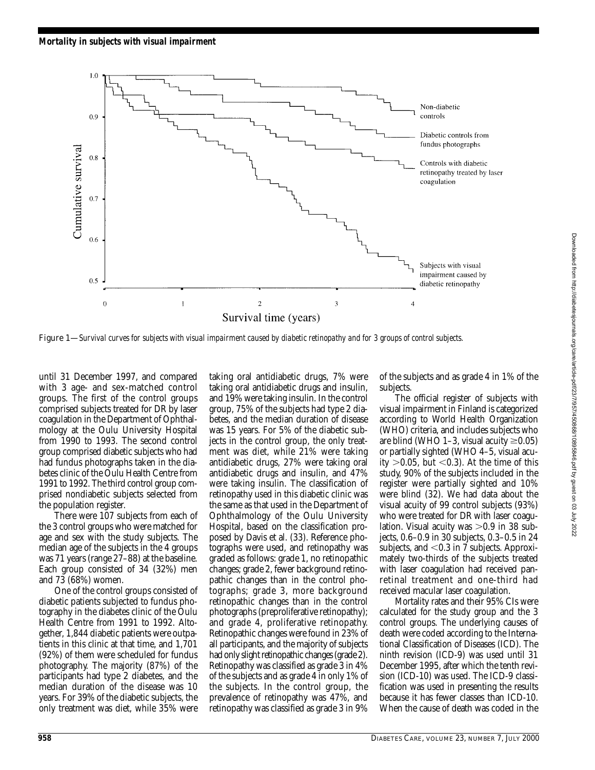

Figure 1—*Survival curves for subjects with visual impairment caused by diabetic retinopathy and for 3 groups of control subjects.*

until 31 December 1997, and compared with 3 age- and sex-matched control groups. The first of the control groups comprised subjects treated for DR by laser coagulation in the Department of Ophthalmology at the Oulu University Hospital from 1990 to 1993. The second control group comprised diabetic subjects who had had fundus photographs taken in the diabetes clinic of the Oulu Health Centre from 1991 to 1992. The third control group comprised nondiabetic subjects selected from the population register.

There were 107 subjects from each of the 3 control groups who were matched for age and sex with the study subjects. The median age of the subjects in the 4 groups was 71 years (range 27–88) at the baseline. Each group consisted of 34 (32%) men and 73 (68%) women.

One of the control groups consisted of diabetic patients subjected to fundus photography in the diabetes clinic of the Oulu Health Centre from 1991 to 1992. Altogether, 1,844 diabetic patients were outpatients in this clinic at that time, and 1,701 (92%) of them were scheduled for fundus photography. The majority (87%) of the participants had type 2 diabetes, and the median duration of the disease was 10 years. For 39% of the diabetic subjects, the only treatment was diet, while 35% were

taking oral antidiabetic drugs, 7% were taking oral antidiabetic drugs and insulin, and 19% were taking insulin. In the control group, 75% of the subjects had type 2 diabetes, and the median duration of disease was 15 years. For 5% of the diabetic subjects in the control group, the only treatment was diet, while 21% were taking antidiabetic drugs, 27% were taking oral antidiabetic drugs and insulin, and 47% were taking insulin. The classification of retinopathy used in this diabetic clinic was the same as that used in the Department of Ophthalmology of the Oulu University Hospital, based on the classification proposed by Davis et al. (33). Reference photographs were used, and retinopathy was graded as follows: grade 1, no retinopathic changes; grade 2, fewer background retinopathic changes than in the control photographs; grade 3, more background retinopathic changes than in the control photographs (preproliferative retinopathy); and grade 4, proliferative retinopathy. Retinopathic changes were found in 23% of all participants, and the majority of subjects had only slight retinopathic changes (grade 2). Retinopathy was classified as grade 3 in 4% of the subjects and as grade 4 in only 1% of the subjects. In the control group, the prevalence of retinopathy was 47%, and retinopathy was classified as grade 3 in 9%

of the subjects and as grade 4 in 1% of the subjects.

The official register of subjects with visual impairment in Finland is categorized according to World Health Organization (WHO) criteria, and includes subjects who are blind (WHO 1–3, visual acuity  $\geq$ 0.05) or partially sighted (WHO 4–5, visual acuity  $>0.05$ , but  $< 0.3$ ). At the time of this study, 90% of the subjects included in the register were partially sighted and 10% were blind (32). We had data about the visual acuity of 99 control subjects (93%) who were treated for DR with laser coagulation. Visual acuity was  $>0.9$  in 38 subjects, 0.6–0.9 in 30 subjects, 0.3–0.5 in 24 subjects, and  $< 0.3$  in 7 subjects. Approximately two-thirds of the subjects treated with laser coagulation had received panretinal treatment and one-third had received macular laser coagulation.

Mortality rates and their 95% CIs were calculated for the study group and the 3 control groups. The underlying causes of death were coded according to the International Classification of Diseases (ICD). The ninth revision (ICD-9) was used until 31 December 1995, after which the tenth revision (ICD-10) was used. The ICD-9 classification was used in presenting the results because it has fewer classes than ICD-10. When the cause of death was coded in the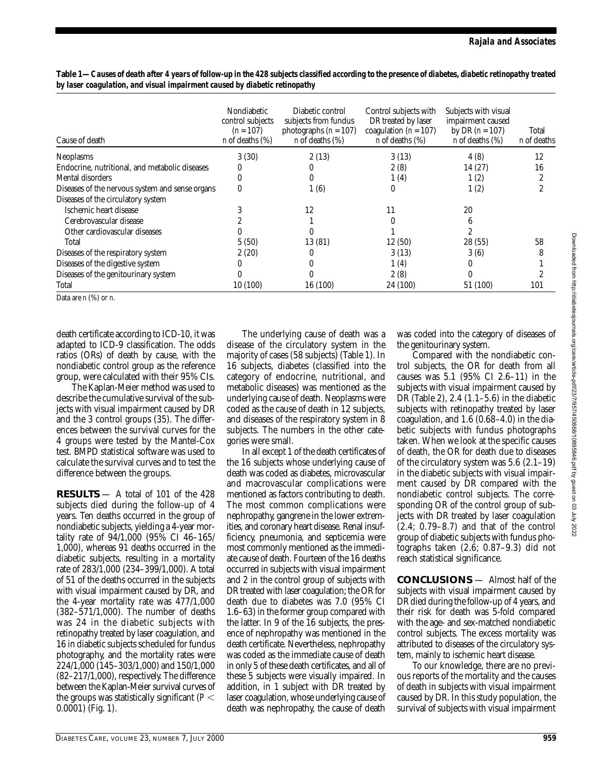| Cause of death                                  | Nondiabetic<br>control subjects<br>$(n = 107)$<br><i>n</i> of deaths $(\%)$ | Diabetic control<br>subjects from fundus<br>photographs $(n = 107)$<br>$n$ of deaths $(\%)$ | Control subjects with<br>DR treated by laser<br>coagulation ( $n = 107$ )<br>$n$ of deaths $(\%)$ | Subjects with visual<br>impairment caused<br>by DR $(n = 107)$<br>$n$ of deaths $(\%)$ | Total<br>n of deaths |
|-------------------------------------------------|-----------------------------------------------------------------------------|---------------------------------------------------------------------------------------------|---------------------------------------------------------------------------------------------------|----------------------------------------------------------------------------------------|----------------------|
| <b>Neoplasms</b>                                | 3(30)                                                                       | 2(13)                                                                                       | 3(13)                                                                                             | 4(8)                                                                                   | 12                   |
| Endocrine, nutritional, and metabolic diseases  | $\Omega$                                                                    |                                                                                             | 2(8)                                                                                              | 14 (27)                                                                                | 16                   |
| Mental disorders                                | 0                                                                           | 0                                                                                           | 1(4)                                                                                              | 1(2)                                                                                   | $\overline{c}$       |
| Diseases of the nervous system and sense organs | 0                                                                           | 1(6)                                                                                        | 0                                                                                                 | 1(2)                                                                                   | 2                    |
| Diseases of the circulatory system              |                                                                             |                                                                                             |                                                                                                   |                                                                                        |                      |
| Ischemic heart disease                          |                                                                             | 12                                                                                          |                                                                                                   | 20                                                                                     |                      |
| Cerebrovascular disease                         |                                                                             |                                                                                             |                                                                                                   | 6                                                                                      |                      |
| Other cardiovascular diseases                   |                                                                             |                                                                                             |                                                                                                   | $\overline{2}$                                                                         |                      |
| Total                                           | 5(50)                                                                       | 13 (81)                                                                                     | 12(50)                                                                                            | 28 (55)                                                                                | 58                   |
| Diseases of the respiratory system              | 2(20)                                                                       |                                                                                             | 3(13)                                                                                             | 3(6)                                                                                   | 8                    |
| Diseases of the digestive system                |                                                                             |                                                                                             | 1(4)                                                                                              | 0                                                                                      |                      |
| Diseases of the genitourinary system            |                                                                             |                                                                                             | 2(8)                                                                                              | $\Omega$                                                                               |                      |
| Total                                           | 10 (100)                                                                    | 16 (100)                                                                                    | 24 (100)                                                                                          | 51 (100)                                                                               | 101                  |

**Table 1—***Causes of death after 4 years of follow-up in the 428 subjects classified according to the presence of diabetes, diabetic retinopathy treated by laser coagulation, and visual impairment caused by diabetic retinopathy*

Data are *n* (%) or *n*.

death certificate according to ICD-10, it was adapted to ICD-9 classification. The odds ratios (ORs) of death by cause, with the nondiabetic control group as the reference group, were calculated with their 95% CIs.

The Kaplan-Meier method was used to describe the cumulative survival of the subjects with visual impairment caused by DR and the 3 control groups (35). The differences between the survival curves for the 4 groups were tested by the Mantel-Cox test. BMPD statistical software was used to calculate the survival curves and to test the difference between the groups.

**RESULTS** — A total of 101 of the 428 subjects died during the follow-up of 4 years. Ten deaths occurred in the group of nondiabetic subjects, yielding a 4-year mortality rate of 94/1,000 (95% CI 46–165/ 1,000), whereas 91 deaths occurred in the diabetic subjects, resulting in a mortality rate of 283/1,000 (234–399/1,000). A total of 51 of the deaths occurred in the subjects with visual impairment caused by DR, and the 4-year mortality rate was 477/1,000 (382–571/1,000). The number of deaths was 24 in the diabetic subjects with retinopathy treated by laser coagulation, and 16 in diabetic subjects scheduled for fundus photography, and the mortality rates were 224/1,000 (145–303/1,000) and 150/1,000 (82–217/1,000), respectively. The difference between the Kaplan-Meier survival curves of the groups was statistically significant (*P* 0.0001) (Fig. 1).

The underlying cause of death was a disease of the circulatory system in the majority of cases (58 subjects) (Table 1). In 16 subjects, diabetes (classified into the category of endocrine, nutritional, and metabolic diseases) was mentioned as the underlying cause of death. Neoplasms were coded as the cause of death in 12 subjects, and diseases of the respiratory system in 8 subjects. The numbers in the other categories were small.

In all except 1 of the death certificates of the 16 subjects whose underlying cause of death was coded as diabetes, microvascular and macrovascular complications were mentioned as factors contributing to death. The most common complications were nephropathy, gangrene in the lower extremities, and coronary heart disease. Renal insufficiency, pneumonia, and septicemia were most commonly mentioned as the immediate cause of death. Fourteen of the 16 deaths occurred in subjects with visual impairment and 2 in the control group of subjects with DR treated with laser coagulation; the OR for death due to diabetes was 7.0 (95% CI 1.6–63) in the former group compared with the latter. In 9 of the 16 subjects, the presence of nephropathy was mentioned in the death certificate. Nevertheless, nephropathy was coded as the immediate cause of death in only 5 of these death certificates, and all of these 5 subjects were visually impaired. In addition, in 1 subject with DR treated by laser coagulation, whose underlying cause of death was nephropathy, the cause of death

was coded into the category of diseases of the genitourinary system.

Compared with the nondiabetic control subjects, the OR for death from all causes was 5.1 (95% CI 2.6–11) in the subjects with visual impairment caused by DR (Table 2), 2.4 (1.1–5.6) in the diabetic subjects with retinopathy treated by laser coagulation, and 1.6 (0.68–4.0) in the diabetic subjects with fundus photographs taken. When we look at the specific causes of death, the OR for death due to diseases of the circulatory system was 5.6 (2.1–19) in the diabetic subjects with visual impairment caused by DR compared with the nondiabetic control subjects. The corresponding OR of the control group of subjects with DR treated by laser coagulation (2.4; 0.79–8.7) and that of the control group of diabetic subjects with fundus photographs taken (2.6; 0.87–9.3) did not reach statistical significance.

**CONCLUSIONS** — Almost half of the subjects with visual impairment caused by DR died during the follow-up of 4 years, and their risk for death was 5-fold compared with the age- and sex-matched nondiabetic control subjects. The excess mortality was attributed to diseases of the circulatory system, mainly to ischemic heart disease.

To our knowledge, there are no previous reports of the mortality and the causes of death in subjects with visual impairment caused by DR. In this study population, the survival of subjects with visual impairment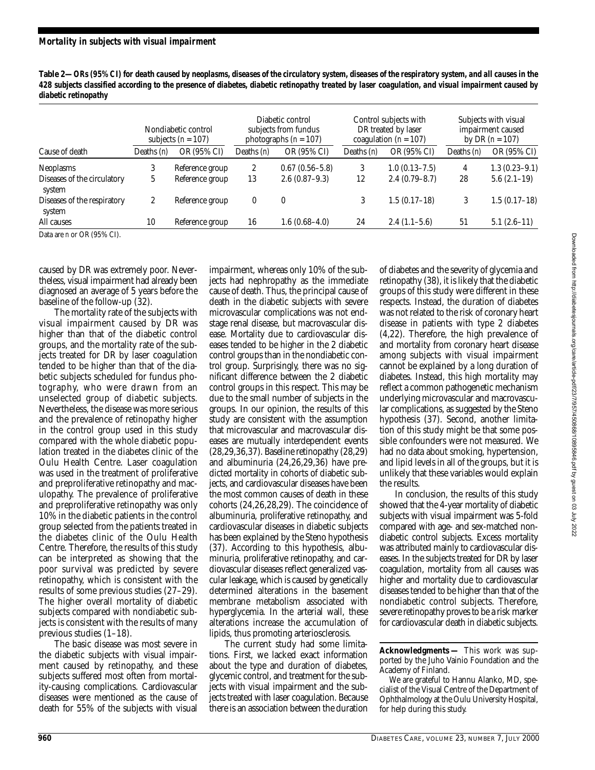| Table 2—ORs (95% CI) for death caused by neoplasms, diseases of the circulatory system, diseases of the respiratory system, and all causes in the |
|---------------------------------------------------------------------------------------------------------------------------------------------------|
| 428 subjects classified according to the presence of diabetes, diabetic retinopathy treated by laser coagulation, and visual impairment caused by |
| diabetic retinopathy                                                                                                                              |

|                                       | Nondiabetic control<br>subjects $(n = 107)$ |                 | Diabetic control<br>subjects from fundus<br>photographs $(n = 107)$ |                    | Control subjects with<br>DR treated by laser<br>coagulation ( $n = 107$ ) |                 | Subjects with visual<br>impairment caused<br>by DR $(n = 107)$ |                   |
|---------------------------------------|---------------------------------------------|-----------------|---------------------------------------------------------------------|--------------------|---------------------------------------------------------------------------|-----------------|----------------------------------------------------------------|-------------------|
| Cause of death                        | Deaths $(n)$                                | OR (95% CI)     | Deaths (n)                                                          | OR (95% CI)        | Deaths (n)                                                                | OR (95% CI)     | Deaths $(n)$                                                   | OR (95% CI)       |
| Neoplasms                             | 3                                           | Reference group | $\mathbf{2}$                                                        | $0.67(0.56 - 5.8)$ | 3                                                                         | $1.0(0.13-7.5)$ | 4                                                              | $1.3(0.23 - 9.1)$ |
| Diseases of the circulatory<br>system | G.                                          | Reference group | 13                                                                  | $2.6(0.87-9.3)$    | 12                                                                        | $2.4(0.79-8.7)$ | 28                                                             | $5.6(2.1-19)$     |
| Diseases of the respiratory<br>system | 2                                           | Reference group | 0                                                                   | $\theta$           | 3                                                                         | $1.5(0.17-18)$  | 3                                                              | $1.5(0.17-18)$    |
| All causes                            | 10                                          | Reference group | 16                                                                  | $1.6(0.68-4.0)$    | 24                                                                        | $2.4(1.1-5.6)$  | 51                                                             | $5.1(2.6-11)$     |

Data are *n* or OR (95% CI).

caused by DR was extremely poor. Nevertheless, visual impairment had already been diagnosed an average of 5 years before the baseline of the follow-up (32).

The mortality rate of the subjects with visual impairment caused by DR was higher than that of the diabetic control groups, and the mortality rate of the subjects treated for DR by laser coagulation tended to be higher than that of the diabetic subjects scheduled for fundus photography, who were drawn from an unselected group of diabetic subjects. Nevertheless, the disease was more serious and the prevalence of retinopathy higher in the control group used in this study compared with the whole diabetic population treated in the diabetes clinic of the Oulu Health Centre. Laser coagulation was used in the treatment of proliferative and preproliferative retinopathy and maculopathy. The prevalence of proliferative and preproliferative retinopathy was only 10% in the diabetic patients in the control group selected from the patients treated in the diabetes clinic of the Oulu Health Centre. Therefore, the results of this study can be interpreted as showing that the poor survival was predicted by severe retinopathy, which is consistent with the results of some previous studies (27–29). The higher overall mortality of diabetic subjects compared with nondiabetic subjects is consistent with the results of many previous studies (1–18).

The basic disease was most severe in the diabetic subjects with visual impairment caused by retinopathy, and these subjects suffered most often from mortality-causing complications. Cardiovascular diseases were mentioned as the cause of death for 55% of the subjects with visual

impairment, whereas only 10% of the subjects had nephropathy as the immediate cause of death. Thus, the principal cause of death in the diabetic subjects with severe microvascular complications was not endstage renal disease, but macrovascular disease. Mortality due to cardiovascular diseases tended to be higher in the 2 diabetic control groups than in the nondiabetic control group. Surprisingly, there was no significant difference between the 2 diabetic control groups in this respect. This may be due to the small number of subjects in the groups. In our opinion, the results of this study are consistent with the assumption that microvascular and macrovascular diseases are mutually interdependent events (28,29,36,37). Baseline retinopathy (28,29) and albuminuria (24,26,29,36) have predicted mortality in cohorts of diabetic subjects, and cardiovascular diseases have been the most common causes of death in these cohorts (24,26,28,29). The coincidence of albuminuria, proliferative retinopathy, and cardiovascular diseases in diabetic subjects has been explained by the Steno hypothesis (37). According to this hypothesis, albuminuria, proliferative retinopathy, and cardiovascular diseases reflect generalized vascular leakage, which is caused by genetically determined alterations in the basement membrane metabolism associated with hyperglycemia. In the arterial wall, these alterations increase the accumulation of lipids, thus promoting arteriosclerosis.

The current study had some limitations. First, we lacked exact information about the type and duration of diabetes, glycemic control, and treatment for the subjects with visual impairment and the subjects treated with laser coagulation. Because there is an association between the duration

of diabetes and the severity of glycemia and retinopathy (38), it is likely that the diabetic groups of this study were different in these respects. Instead, the duration of diabetes was not related to the risk of coronary heart disease in patients with type 2 diabetes (4,22). Therefore, the high prevalence of and mortality from coronary heart disease among subjects with visual impairment cannot be explained by a long duration of diabetes. Instead, this high mortality may reflect a common pathogenetic mechanism underlying microvascular and macrovascular complications, as suggested by the Steno hypothesis (37). Second, another limitation of this study might be that some possible confounders were not measured. We had no data about smoking, hypertension, and lipid levels in all of the groups, but it is unlikely that these variables would explain the results.

In conclusion, the results of this study showed that the 4-year mortality of diabetic subjects with visual impairment was 5-fold compared with age- and sex-matched nondiabetic control subjects. Excess mortality was attributed mainly to cardiovascular diseases. In the subjects treated for DR by laser coagulation, mortality from all causes was higher and mortality due to cardiovascular diseases tended to be higher than that of the nondiabetic control subjects. Therefore, severe retinopathy proves to be a risk marker for cardiovascular death in diabetic subjects.

We are grateful to Hannu Alanko, MD, specialist of the Visual Centre of the Department of Ophthalmology at the Oulu University Hospital, for help during this study.

**Acknowledgments —** This work was supported by the Juho Vainio Foundation and the Academy of Finland.